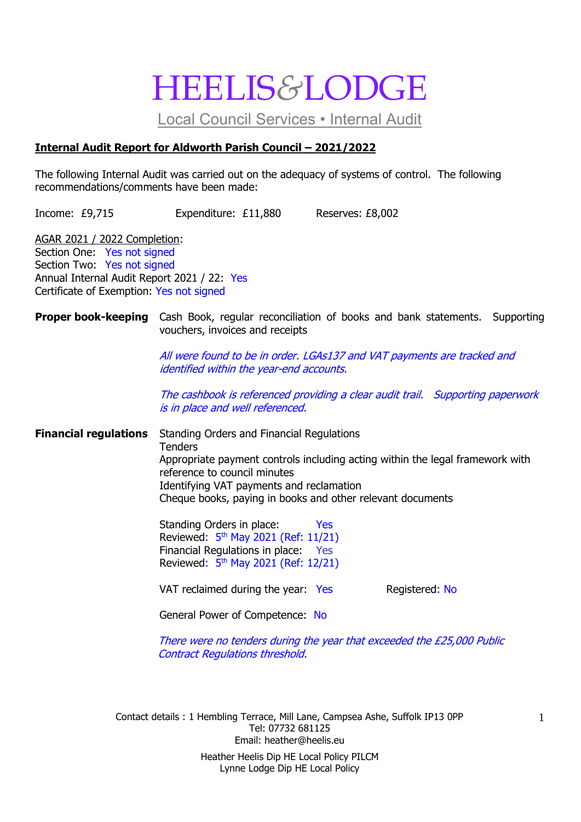## HEELIS*&*LODGE

Local Council Services • Internal Audit

#### **Internal Audit Report for Aldworth Parish Council – 2021/2022**

The following Internal Audit was carried out on the adequacy of systems of control. The following recommendations/comments have been made:

Income: £9,715 Expenditure: £11,880 Reserves: £8,002

AGAR 2021 / 2022 Completion: Section One: Yes not signed Section Two: Yes not signed Annual Internal Audit Report 2021 / 22: Yes Certificate of Exemption: Yes not signed

#### **Proper book-keeping** Cash Book, regular reconciliation of books and bank statements. Supporting vouchers, invoices and receipts

All were found to be in order. LGAs137 and VAT payments are tracked and identified within the year-end accounts.

The cashbook is referenced providing a clear audit trail. Supporting paperwork is in place and well referenced.

**Financial regulations** Standing Orders and Financial Regulations **Tenders** Appropriate payment controls including acting within the legal framework with reference to council minutes Identifying VAT payments and reclamation Cheque books, paying in books and other relevant documents

> Standing Orders in place: Yes Reviewed: 5<sup>th</sup> May 2021 (Ref: 11/21) Financial Regulations in place: Yes Reviewed: 5<sup>th</sup> May 2021 (Ref: 12/21)

VAT reclaimed during the year: Yes Registered: No

General Power of Competence: No

There were no tenders during the year that exceeded the £25,000 Public Contract Regulations threshold.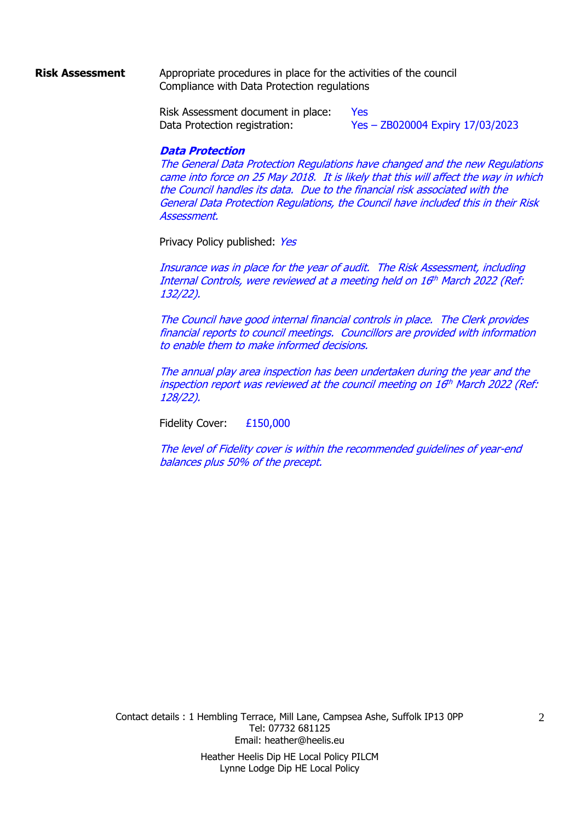#### **Risk Assessment** Appropriate procedures in place for the activities of the council Compliance with Data Protection regulations

Risk Assessment document in place: Yes Data Protection registration: Yes – ZB020004 Expiry 17/03/2023

#### **Data Protection**

The General Data Protection Regulations have changed and the new Regulations came into force on 25 May 2018. It is likely that this will affect the way in which the Council handles its data. Due to the financial risk associated with the General Data Protection Regulations, the Council have included this in their Risk Assessment.

Privacy Policy published: Yes

Insurance was in place for the year of audit. The Risk Assessment, including Internal Controls, were reviewed at a meeting held on 16th March 2022 (Ref: 132/22).

The Council have good internal financial controls in place. The Clerk provides financial reports to council meetings. Councillors are provided with information to enable them to make informed decisions.

The annual play area inspection has been undertaken during the year and the inspection report was reviewed at the council meeting on 16 th March 2022 (Ref: 128/22).

Fidelity Cover: £150,000

The level of Fidelity cover is within the recommended guidelines of year-end balances plus 50% of the precept.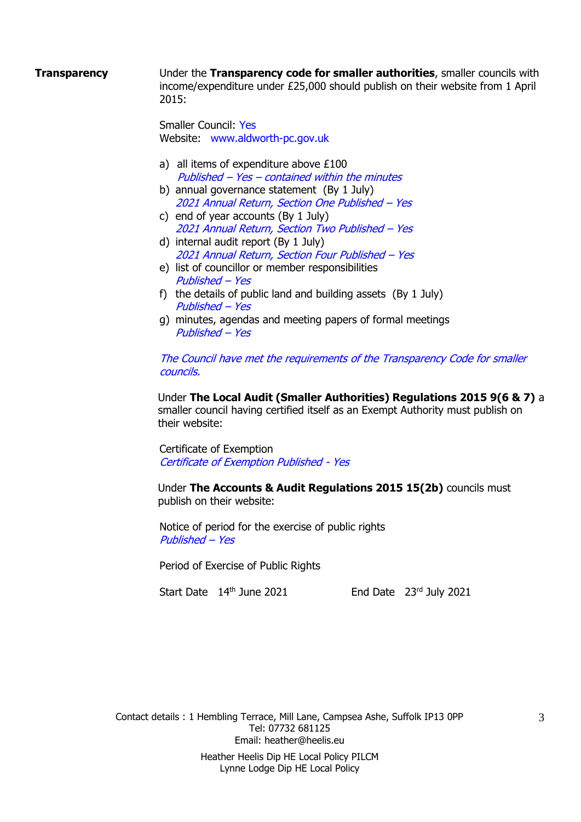**Transparency** Under the **Transparency code for smaller authorities**, smaller councils with income/expenditure under £25,000 should publish on their website from 1 April 2015:

> Smaller Council: Yes Website: www.aldworth-pc.gov.uk

- a) all items of expenditure above £100 Published – Yes – contained within the minutes
- b) annual governance statement (By 1 July) 2021 Annual Return, Section One Published – Yes
- c) end of year accounts (By 1 July) 2021 Annual Return, Section Two Published – Yes
- d) internal audit report (By 1 July) 2021 Annual Return, Section Four Published – Yes
- e) list of councillor or member responsibilities Published – Yes
- f) the details of public land and building assets (By 1 July) Published – Yes
- g) minutes, agendas and meeting papers of formal meetings Published – Yes

The Council have met the requirements of the Transparency Code for smaller councils.

Under **The Local Audit (Smaller Authorities) Regulations 2015 9(6 & 7)** a smaller council having certified itself as an Exempt Authority must publish on their website:

Certificate of Exemption Certificate of Exemption Published - Yes

Under **The Accounts & Audit Regulations 2015 15(2b)** councils must publish on their website:

Notice of period for the exercise of public rights Published – Yes

Period of Exercise of Public Rights

Start Date 14th June 2021 End Date 23rd July 2021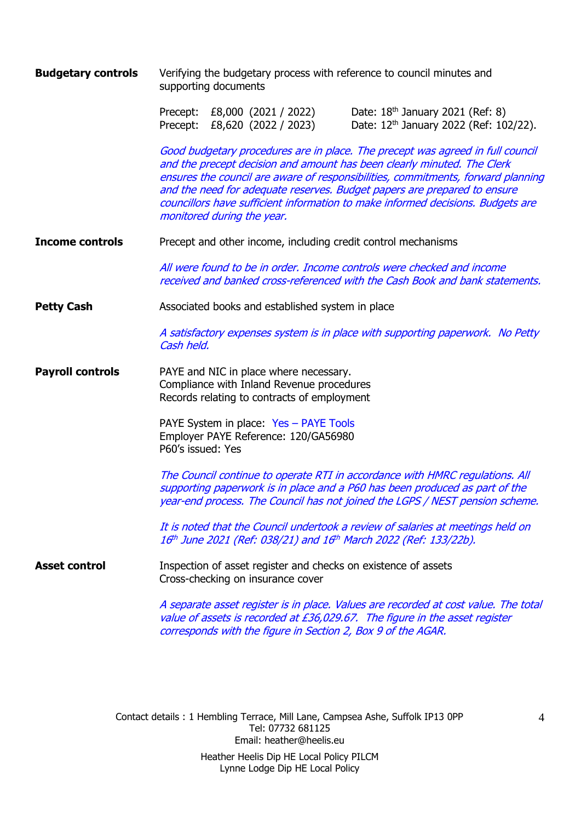**Budgetary controls** Verifying the budgetary process with reference to council minutes and supporting documents

Precept: £8,000 (2021 / 2022) Date: 18<sup>th</sup> January 2021 (Ref: 8) Precept: £8,620 (2022 / 2023) Date: 12<sup>th</sup> January 2022 (Ref: 102/22).

Good budgetary procedures are in place. The precept was agreed in full council and the precept decision and amount has been clearly minuted. The Clerk ensures the council are aware of responsibilities, commitments, forward planning and the need for adequate reserves. Budget papers are prepared to ensure councillors have sufficient information to make informed decisions. Budgets are monitored during the year.

**Income controls** Precept and other income, including credit control mechanisms

All were found to be in order. Income controls were checked and income received and banked cross-referenced with the Cash Book and bank statements.

**Petty Cash** Associated books and established system in place

A satisfactory expenses system is in place with supporting paperwork. No Petty Cash held.

**Payroll controls** PAYE and NIC in place where necessary. Compliance with Inland Revenue procedures Records relating to contracts of employment

> PAYE System in place: Yes - PAYE Tools Employer PAYE Reference: 120/GA56980 P60's issued: Yes

The Council continue to operate RTI in accordance with HMRC regulations. All supporting paperwork is in place and a P60 has been produced as part of the year-end process. The Council has not joined the LGPS / NEST pension scheme.

It is noted that the Council undertook a review of salaries at meetings held on 16th June 2021 (Ref: 038/21) and 16th March 2022 (Ref: 133/22b).

**Asset control Inspection of asset register and checks on existence of assets** Cross-checking on insurance cover

> A separate asset register is in place. Values are recorded at cost value. The total value of assets is recorded at £36,029.67. The figure in the asset register corresponds with the figure in Section 2, Box 9 of the AGAR.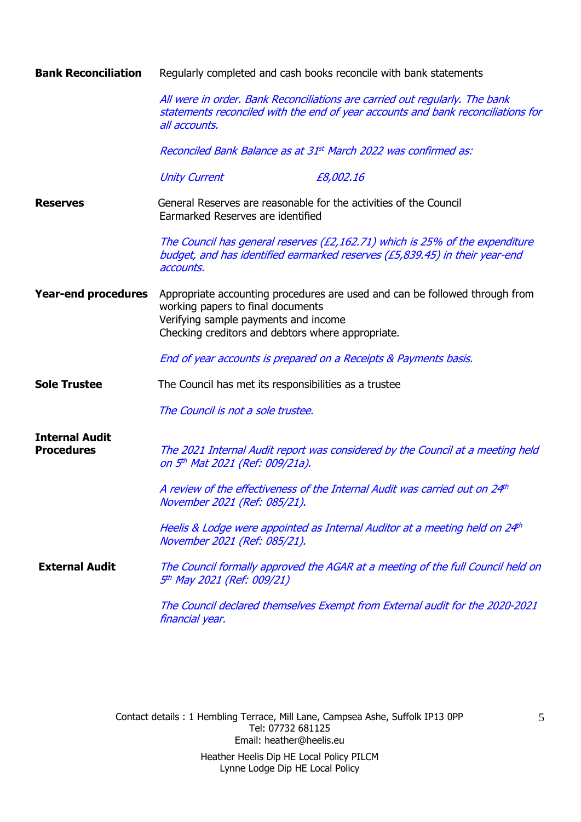#### **Bank Reconciliation** Regularly completed and cash books reconcile with bank statements

All were in order. Bank Reconciliations are carried out regularly. The bank statements reconciled with the end of year accounts and bank reconciliations for all accounts.

Reconciled Bank Balance as at 31<sup>st</sup> March 2022 was confirmed as:

Unity Current E8,002.16

**Reserves** General Reserves are reasonable for the activities of the Council Earmarked Reserves are identified

> The Council has general reserves (£2,162.71) which is 25% of the expenditure budget, and has identified earmarked reserves (£5,839.45) in their year-end accounts.

**Year-end procedures** Appropriate accounting procedures are used and can be followed through from working papers to final documents Verifying sample payments and income Checking creditors and debtors where appropriate.

End of year accounts is prepared on a Receipts & Payments basis.

- **Sole Trustee** The Council has met its responsibilities as a trustee
	- The Council is not a sole trustee.

**Internal Audit** 

**Procedures** The 2021 Internal Audit report was considered by the Council at a meeting held on 5 th Mat 2021 (Ref: 009/21a).

> A review of the effectiveness of the Internal Audit was carried out on 24th November 2021 (Ref: 085/21).

Heelis & Lodge were appointed as Internal Auditor at a meeting held on 24th November 2021 (Ref: 085/21).

**External Audit** The Council formally approved the AGAR at a meeting of the full Council held on 5 th May 2021 (Ref: 009/21)

> The Council declared themselves Exempt from External audit for the 2020-2021 financial year.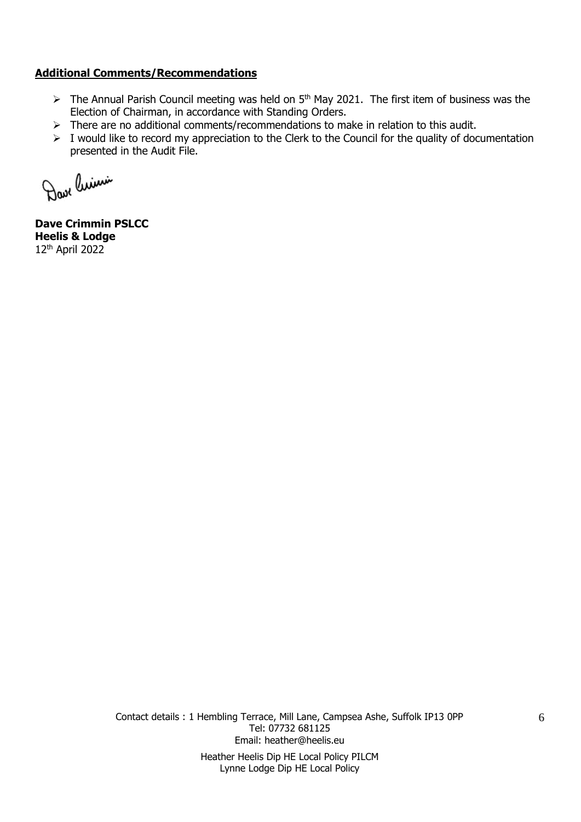#### **Additional Comments/Recommendations**

- $\triangleright$  The Annual Parish Council meeting was held on 5<sup>th</sup> May 2021. The first item of business was the Election of Chairman, in accordance with Standing Orders.
- ➢ There are no additional comments/recommendations to make in relation to this audit.
- ➢ I would like to record my appreciation to the Clerk to the Council for the quality of documentation presented in the Audit File.

Dave linimi

**Dave Crimmin PSLCC Heelis & Lodge** 12th April 2022